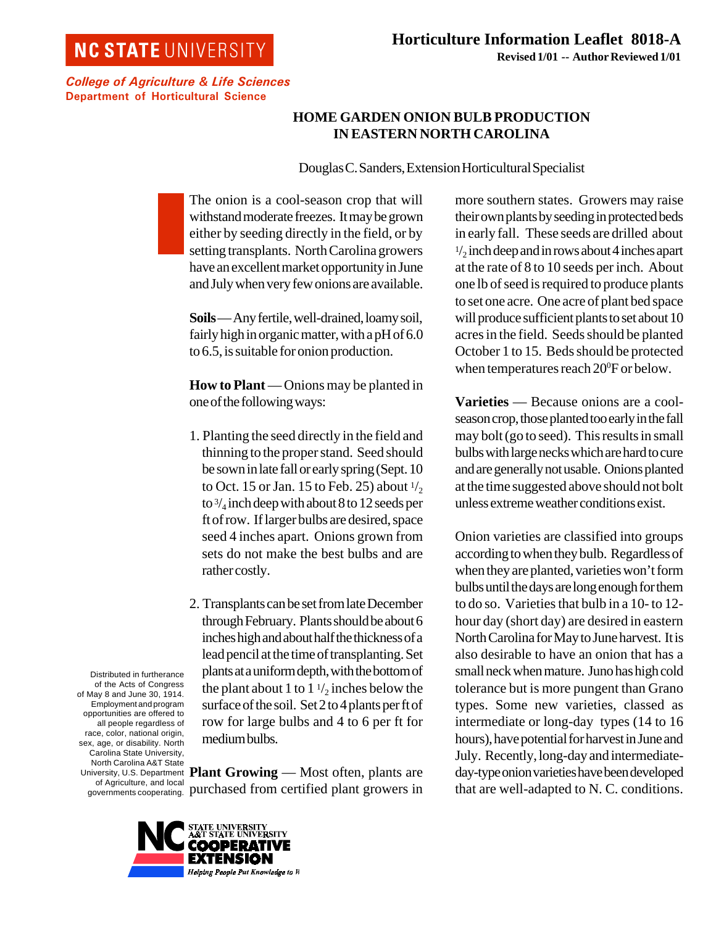## **NC STATE UNIVERSITY**

College of Agriculture & Life Sciences Department of Horticultural Science

## **HOME GARDEN ONION BULB PRODUCTION IN EASTERN NORTH CAROLINA**

Douglas C. Sanders, Extension Horticultural Specialist

The onion is a cool-season crop that will withstand moderate freezes. It may be grown either by seeding directly in the field, or by setting transplants. North Carolina growers have an excellent market opportunity in June and July when very few onions are available.

**Soils** — Any fertile, well-drained, loamy soil, fairly high in organic matter, with a pH of 6.0 to 6.5, is suitable for onion production.

**How to Plant** — Onions may be planted in one of the following ways:

- 1. Planting the seed directly in the field and thinning to the proper stand. Seed should be sown in late fall or early spring (Sept. 10 to Oct. 15 or Jan. 15 to Feb. 25) about  $\frac{1}{2}$ to  $\frac{3}{4}$  inch deep with about 8 to 12 seeds per ft of row. If larger bulbs are desired, space seed 4 inches apart. Onions grown from sets do not make the best bulbs and are rather costly.
- 2. Transplants can be set from late December through February. Plants should be about 6 inches high and about half the thickness of a lead pencil at the time of transplanting. Set plants at a uniform depth, with the bottom of the plant about 1 to  $1\frac{1}{2}$  inches below the surface of the soil. Set 2 to 4 plants per ft of row for large bulbs and 4 to 6 per ft for medium bulbs.

**Plant Growing** — Most often, plants are purchased from certified plant growers in

all people regardless of race, color, national origin, sex, age, or disability. North Carolina State University, North Carolina A&T State University, U.S. Department of Agriculture, and local governments cooperating.

Distributed in furtherance of the Acts of Congress of May 8 and June 30, 1914. Employment and program opportunities are offered to



more southern states. Growers may raise their own plants by seeding in protected beds in early fall. These seeds are drilled about  $\frac{1}{2}$  inch deep and in rows about 4 inches apart at the rate of 8 to 10 seeds per inch. About one lb of seed is required to produce plants to set one acre. One acre of plant bed space will produce sufficient plants to set about 10 acres in the field. Seeds should be planted October 1 to 15. Beds should be protected when temperatures reach  $20^{\circ}$ F or below.

**Varieties** — Because onions are a coolseason crop, those planted too early in the fall may bolt (go to seed). This results in small bulbs with large necks which are hard to cure and are generally not usable. Onions planted at the time suggested above should not bolt unless extreme weather conditions exist.

Onion varieties are classified into groups according to when they bulb. Regardless of when they are planted, varieties won't form bulbs until the days are long enough for them to do so. Varieties that bulb in a 10- to 12 hour day (short day) are desired in eastern North Carolina for May to June harvest. It is also desirable to have an onion that has a small neck when mature. Juno has high cold tolerance but is more pungent than Grano types. Some new varieties, classed as intermediate or long-day types (14 to 16 hours), have potential for harvest in June and July. Recently, long-day and intermediateday-type onion varieties have been developed that are well-adapted to N. C. conditions.